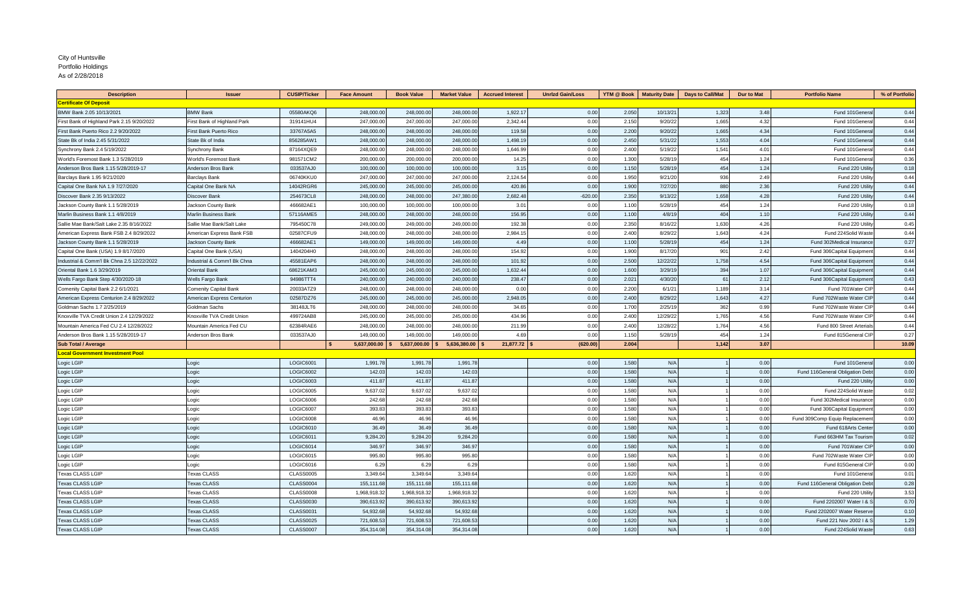## As of 2/28/2018 City of Huntsville Portfolio Holdings

| <b>Description</b>                         | <b>Issuer</b>               | <b>CUSIP/Ticker</b> | <b>Face Amount</b> | <b>Book Value</b>        | <b>Market Value</b>    | <b>Accrued Interest</b> | <b>Unrizd Gain/Loss</b> | YTM @ Book     | <b>Maturity Date</b> | <b>Days to Call/Mat</b> | Dur to Mat | <b>Portfolio Name</b>           | % of Portfolic |
|--------------------------------------------|-----------------------------|---------------------|--------------------|--------------------------|------------------------|-------------------------|-------------------------|----------------|----------------------|-------------------------|------------|---------------------------------|----------------|
| <b>Certificate Of Deposit</b>              |                             |                     |                    |                          |                        |                         |                         |                |                      |                         |            |                                 |                |
| BMW Bank 2.05 10/13/2021                   | <b>BMW Bank</b>             | 05580AKQ6           | 248,000.0          | 248,000.00               | 248,000.00             | 1,922.17                | 0.00                    | 2.050          | 10/13/2              | 1,323                   | 3.48       | Fund 101General                 | 0.44           |
| First Bank of Highland Park 2.15 9/20/2022 | First Bank of Highland Park | 319141HU4           | 247,000.00         | 247,000.00               | 247,000.00             | 2.342.44                | 0.00                    | 2.150          | 9/20/22              | 1,665                   | 4.32       | Fund 101General                 | 0.44           |
| First Bank Puerto Rico 2.2 9/20/2022       | First Bank Puerto Rico      | 33767A5A5           | 248,000.00         | 248,000.00               | 248,000.00             | 119.58                  | 0.00                    | 2.200          | 9/20/22              | 1,665                   | 4.34       | Fund 101General                 | 0.44           |
| State Bk of India 2.45 5/31/2022           | State Bk of India           | 856285AW1           | 248,000.00         | 248,000.00               | 248,000,00             | 1,498.19                | 0.00                    | 2.450          | 5/31/22              | 1,553                   | 4.04       | Fund 101Genera                  | 0.44           |
| Synchrony Bank 2.4 5/19/2022               | Synchrony Bank              | 87164XQE9           | 248,000.00         | 248,000.00               | 248,000.00             | 1,646.99                | 0.00                    | 2.400          | 5/19/22              | 1,541                   | 4.01       | Fund 101Genera                  | 0.44           |
| World's Foremost Bank 1.3 5/28/2019        | Vorld's Foremost Bank       | 981571CM2           | 200,000.00         | 200,000,00               | 200,000,00             | 14.25                   | 0.00                    | 1.300          | 5/28/1               | 454                     | 1.24       | Fund 101Genera                  | 0.36           |
| Anderson Bros Bank 1.15 5/28/2019-17       | Anderson Bros Bank          | 033537AJ0           | 100,000.00         | 100,000.00               | 100,000.00             | 3.15                    | 0.00                    | 1.150          | 5/28/1               | 454                     | 1.24       | Fund 220 Utilit                 | 0.18           |
| Barclays Bank 1.95 9/21/2020               | Barclays Bank               | 06740KKU0           | 247,000.0          | 247,000.0                | 247,000.0              | 2.124.54                | 0.00                    | 1.950          | 9/21/2               | 936                     | 2.49       | Fund 220 Utilit                 | 0.44           |
| Capital One Bank NA 1.9 7/27/2020          | Capital One Bank NA         | 14042RGR6           | 245,000.00         | 245,000.00               | 245,000.0              | 420.86                  | 0.00                    | 1.900          | 7/27/20              | 880                     | 2.36       | Fund 220 Utilit                 | 0.44           |
| Discover Bank 2.35 9/13/2022               | Discover Bank               | 254673CL8           | 248,000.00         | 248,000.00               | 247,380.00             | 2,682.48                | $-620.00$               | 2.350          | 9/13/22              | 1,658                   | 4.28       | Fund 220 Utilit                 | 0.44           |
| Jackson County Bank 1.1 5/28/2019          | lackson County Bank         | 466682AE1           | 100,000.00         | 100,000.00               | 100,000,00             | 3.01                    | 0.00                    | 1.100          | 5/28/1               | 454                     | 1.24       | Fund 220 Utility                | 0.18           |
| Marlin Business Bank 1.1 4/8/2019          | Marlin Business Bank        | 57116AME5           | 248,000.00         | 248,000.00               | 248,000.0              | 156.95                  | 0.00                    | 1.100          | 4/8/1                | 404                     | 1.10       | Fund 220 Utilit                 | 0.44           |
| Sallie Mae Bank/Salt Lake 2.35 8/16/2022   | Sallie Mae Bank/Salt Lake   | 795450C78           | 249,000.00         | 249,000.00               | 249,000.00             | 192.38                  | 0.00                    | 2.350          | 8/16/22              | 1,630                   | 4.26       | Fund 220 Utility                | 0.45           |
| American Express Bank FSB 2.4 8/29/2022    | American Express Bank FSB   | 02587CFU9           | 248,000.0          | 248,000.00               | 248,000.0              | 2,984.15                | 0.00                    | 2.400          | 8/29/2               | 1,643                   | 4.24       | Fund 224Solid Wast              | 0.44           |
| Jackson County Bank 1.1 5/28/2019          | lackson County Bank         | 466682AE1           | 149,000.0          | 149,000.00               | 149,000.0              | 4.49                    | 0.00                    | 1.100          | 5/28/1               | 454                     | 1.24       | Fund 302Medical Insurance       | 0.27           |
|                                            |                             | 1404204H0           | 248,000.00         |                          |                        | 154.92                  |                         |                |                      |                         | 2.42       |                                 |                |
| Capital One Bank (USA) 1.9 8/17/2020       | Capital One Bank (USA)      | 45581EAP6           | 248,000.00         | 248,000.00<br>248,000.00 | 248,000.0<br>248,000.0 | 101.92                  | 0.00                    | 1.900<br>2.500 | 8/17/20<br>12/22/2   | 901                     | 4.54       | Fund 306Capital Equipment       | 0.44<br>0.44   |
| Industrial & Comm'l Bk Chna 2.5 12/22/2022 | Industrial & Comm'l Bk Chna |                     |                    |                          |                        |                         | 0.00                    |                |                      | 1,758                   |            | Fund 306Capital Equipment       |                |
| Oriental Bank 1.6 3/29/2019                | Oriental Bank               | 68621KAM3           | 245,000.00         | 245,000.00               | 245,000.00             | 1,632.44                | 0.00                    | 1.600          | 3/29/1               | 394                     | 1.07       | Fund 306Capital Equipment       | 0.44           |
| Wells Fargo Bank Step 4/30/2020-18         | <b>Nells Fargo Bank</b>     | 94986TTT4           | 240,000.00         | 240,000.00               | 240,000,00             | 238.47                  | 0.00                    | 2.021          | 4/30/20              | 61                      | 2.12       | Fund 306Capital Equipment       | 0.43           |
| Comenity Capital Bank 2.2 6/1/2021         | Comenity Capital Bank       | 20033ATZ9           | 248,000.00         | 248,000.00               | 248,000.00             | 0.00                    | 0.00                    | 2.200          | 6/1/2                | 1,189                   | 3.14       | Fund 701Water CIP               | 0.44           |
| American Express Centurion 2.4 8/29/2022   | American Express Centurion  | 02587DZ76           | 245,000.00         | 245,000.00               | 245,000.0              | 2,948.05                | 0.00                    | 2.400          | 8/29/2               | 1,643                   | 4.27       | Fund 702Waste Water CIP         | 0.44           |
| Goldman Sachs 1.7 2/25/2019                | Goldman Sachs               | 38148JLT6           | 248,000.00         | 248,000.00               | 248,000.0              | 34.65                   | 0.00                    | 1.700          | 2/25/1               | 362                     | 0.99       | Fund 702Waste Water CIP         | 0.44           |
| Knoxville TVA Credit Union 2.4 12/29/2022  | Knoxville TVA Credit Union  | 499724AB8           | 245,000.00         | 245,000.00               | 245,000.0              | 434.96                  | 0.00                    | 2.400          | 12/29/22             | 1.765                   | 4.56       | Fund 702Waste Water CII         | 0.44           |
| Mountain America Fed CU 2.4 12/28/2022     | Mountain America Fed CU     | 62384RAE6           | 248,000.0          | 248,000.00               | 248,000.0              | 211.99                  | 0.00                    | 2.400          | 12/28/2              | 1,764                   | 4.56       | Fund 800 Street Arterials       | 0.44           |
| Anderson Bros Bank 1.15 5/28/2019-17       | Anderson Bros Bank          | 033537AJ0           | 149,000.00         | 149,000.00               | 149,000.00             | 4.69                    | 0.00                    | 1.150          | 5/28/1               | 454                     | 1.24       | Fund 815General CIP             | 0.27           |
| <b>Sub Total / Average</b>                 |                             |                     | 5,637,000.00       | 5,637,000.00             | 5,636,380.00           | 21,877.72               | (620.00)                | 2.004          |                      | 1,142                   | 3.07       |                                 | 10.09          |
| <b>Local Government Investment Pool</b>    |                             |                     |                    |                          |                        |                         |                         |                |                      |                         |            |                                 |                |
| Logic LGIP                                 | ogic                        | LOGIC6001           | 1,991.7            | 1,991.78                 | 1,991.78               |                         | 0.00                    | 1.580          | N/A                  |                         | 0.00       | Fund 101Genera                  | 0.00           |
| Logic LGIP                                 | ogic                        | LOGIC6002           | 142.0              | 142.0                    | 142.0                  |                         | 0.00                    | 1.580          | N/A                  |                         | 0.00       | Fund 116General Obligation Deb  | 0.00           |
| Logic LGIP                                 | ogic                        | LOGIC6003           | 411.8              | 411.8                    | 411.8                  |                         | 0.00                    | 1.580          | N/A                  |                         | 0.00       | Fund 220 Utilit                 | 0.00           |
| Logic LGIP                                 | ogic.                       | LOGIC6005           | 9,637.02           | 9,637.02                 | 9,637.02               |                         | 0.00                    | 1.580          | N/A                  |                         | 0.00       | Fund 224Solid Waste             | 0.02           |
| Logic LGIP                                 | ogic                        | LOGIC6006           | 242.68             | 242.68                   | 242.68                 |                         | 0.00                    | 1.580          | N/A                  |                         | 0.00       | Fund 302Medical Insurance       | 0.00           |
| Logic LGIP                                 | ogic                        | <b>LOGIC6007</b>    | 393.83             | 393.83                   | 393.83                 |                         | 0.00                    | 1.580          | N/A                  |                         | 0.00       | Fund 306Capital Equipment       | 0.00           |
| Logic LGIP                                 | ogic                        | LOGIC6008           | 46.96              | 46.96                    | 46.96                  |                         | 0.00                    | 1.580          | N/A                  |                         | 0.00       | Fund 309Comp Equip Replacement  | 0.00           |
| Logic LGIP                                 | _ogic                       | LOGIC6010           | 36.49              | 36.49                    | 36.49                  |                         | 0.00                    | 1.580          | N/A                  |                         | 0.00       | Fund 618Arts Cente              | 0.00           |
| Logic LGIP                                 | ogic                        | LOGIC6011           | 9,284.20           | 9,284.20                 | 9,284.20               |                         | 0.00                    | 1.580          | N/A                  |                         | 0.00       | Fund 663HM Tax Tourisr          | 0.02           |
| Logic LGIP                                 | ogic                        | LOGIC6014           | 346.9              | 346.9                    | 346.97                 |                         | 0.00                    | 1.580          | N/A                  |                         | 0.00       | Fund 701Water CIP               | 0.00           |
| Logic LGIP                                 | ogic.                       | LOGIC6015           | 995.8              | 995.8                    | 995.8                  |                         | 0.00                    | 1.580          | N/A                  |                         | 0.00       | Fund 702Waste Water CIF         | 0.00           |
| Logic LGIP                                 | ogic                        | LOGIC6016           | 6.29               | 6.29                     | 6.29                   |                         | 0.00                    | 1.580          | N/A                  |                         | 0.00       | Fund 815General CIP             | 0.00           |
| <b>Texas CLASS LGIP</b>                    | <b>Texas CLASS</b>          | <b>CLASS0005</b>    | 3,349.64           | 3,349.64                 | 3,349.64               |                         | 0.00                    | 1.620          | N/A                  |                         | 0.00       | Fund 101General                 | 0.01           |
| <b>Texas CLASS LGIP</b>                    | <b>Texas CLASS</b>          | <b>CLASS0004</b>    | 155,111.68         | 155,111.68               | 155,111.68             |                         | 0.00                    | 1.620          | N/A                  |                         | 0.00       | Fund 116General Obligation Debt | 0.28           |
| <b>Texas CLASS LGIP</b>                    | exas CLASS                  | <b>CLASS0008</b>    | 1.968.918.3        | 1.968.918.3              | 1,968,918.3            |                         | 0.00                    | 1.620          | N/A                  |                         | 0.00       | Fund 220 Utilit                 | 3.53           |
| <b>Texas CLASS LGIP</b>                    | exas CLASS                  | <b>CLASS0030</b>    | 390,613.92         | 390,613.92               | 390,613.92             |                         | 0.00                    | 1.620          | N/A                  |                         | 0.00       | Fund 2202007 Water I & S        | 0.70           |
| <b>Texas CLASS LGIF</b>                    | exas CLASS                  | CLASS0031           | 54,932.6           | 54,932.6                 | 54,932.6               |                         | 0.00                    | 1.620          | N/A                  |                         | 0.00       | Fund 2202007 Water Reserv       | 0.10           |
| <b>Texas CLASS LGIF</b>                    | exas CLASS                  | <b>CLASS0025</b>    | 721,608.5          | 721,608.5                | 721,608.5              |                         | 0.00                    | 1.620          | N/A                  |                         | 0.00       | Fund 221 Nov 2002   & \$        | 1.29           |
| <b>Texas CLASS LGIP</b>                    | <b>Texas CLASS</b>          | <b>CLASS0007</b>    | 354,314.08         | 354,314.08               | 354,314.08             |                         | 0.00                    | 1.620          | N/A                  |                         | 0.00       | Fund 224Solid Waste             | 0.63           |
|                                            |                             |                     |                    |                          |                        |                         |                         |                |                      |                         |            |                                 |                |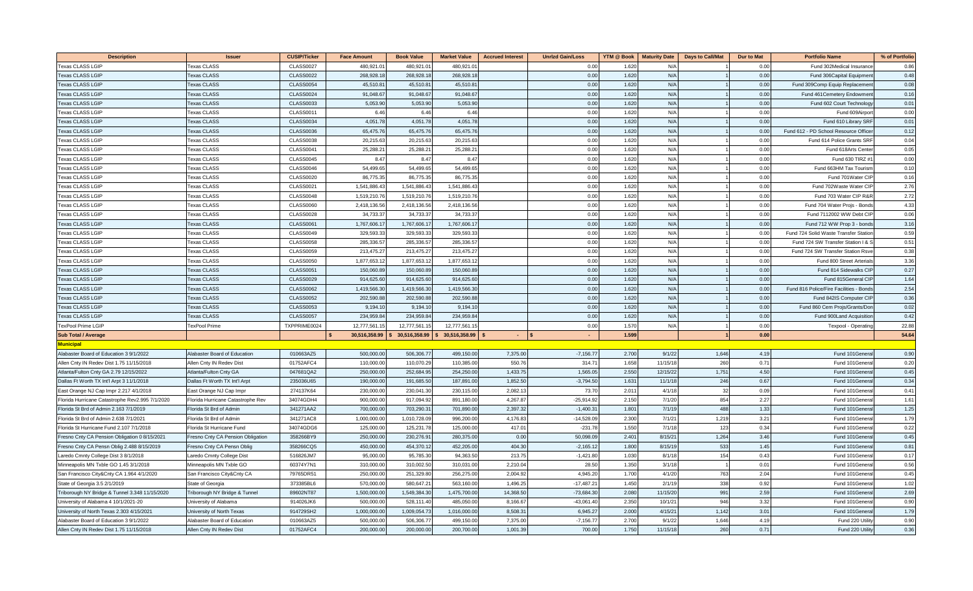| <b>Description</b>                              | Issue                             | <b>CUSIP/Ticker</b> | <b>Face Amount</b> | <b>Book Value</b> | <b>Market Value</b> | <b>Accrued Interest</b> | <b>Unrizd Gain/Loss</b> | <b>YTM @ Book</b> | <b>Maturity Date</b> | <b>Days to Call/Mat</b> | <b>Dur to Mat</b> | <b>Portfolio Name</b>                   | % of Portfolic |
|-------------------------------------------------|-----------------------------------|---------------------|--------------------|-------------------|---------------------|-------------------------|-------------------------|-------------------|----------------------|-------------------------|-------------------|-----------------------------------------|----------------|
| <b>Texas CLASS LGIP</b>                         | <b>Texas CLASS</b>                | <b>CLASS0027</b>    | 480,921.01         | 480,921.0         | 480,921.0           |                         | 0.00                    | 1.62              | N/A                  |                         | 0.00              | Fund 302Medical Insurance               | 0.86           |
| <b>Texas CLASS LGIP</b>                         | <b>Texas CLASS</b>                | <b>CLASS0022</b>    | 268,928.18         | 268,928.1         | 268,928.1           |                         | 0.00                    | 1.620             | N/A                  |                         | 0.00              | Fund 306Capital Equipmen                | 0.48           |
| Texas CLASS LGIP                                | exas CLASS                        | <b>CLASS0054</b>    | 45.510.8           | 45.510.8          | 45,510.8            |                         | 0.00                    | 1.620             | N/A                  |                         | 0.00              | Fund 309Comp Equip Replacemen           | 0.08           |
| <b>Texas CLASS LGIF</b>                         | <b>Texas CLASS</b>                | <b>CLASS0024</b>    | 91,048.6           | 91,048.6          | 91,048.6            |                         | 0.00                    | 1.620             | N/A                  |                         | 0.00              | Fund 461 Cemetery Endowmer              | 0.16           |
| <b>Texas CLASS LGIP</b>                         | <b>Texas CLASS</b>                | <b>CLASS0033</b>    | 5,053.90           | 5,053.90          | 5,053.90            |                         | 0.00                    | 1.620             | N/A                  |                         | 0.00              | Fund 602 Court Technology               | 0.01           |
| <b>Texas CLASS LGIP</b>                         | <b>Texas CLASS</b>                | <b>CLASS0011</b>    | 6.46               | 6.46              | 6.46                |                         | 0.00                    | 1.620             | N/A                  |                         | 0.00              | Fund 609Airpo                           | 0.00           |
| <b>Texas CLASS LGIP</b>                         | <b>Texas CLASS</b>                | <b>CLASS0034</b>    | 4,051.7            | 4,051.78          | 4,051.78            |                         | 0.00                    | 1.620             | N/A                  |                         | 0.00              | Fund 610 Library SRF                    | 0.01           |
| <b>Texas CLASS LGIF</b>                         | <b>Texas CLASS</b>                | <b>CLASS0036</b>    | 65,475.7           | 65,475.76         | 65,475.7            |                         | 0.00                    | 1.620             | N/A                  |                         | 0.00              | Fund 612 - PD School Resource Office    | 0.12           |
| <b>Texas CLASS LGIP</b>                         | Texas CLASS                       | <b>CLASS0038</b>    | 20,215.63          | 20,215.63         | 20,215.63           |                         | 0.00                    | 1.620             | N/A                  |                         | 0.00              | Fund 614 Police Grants SRF              | 0.04           |
| Texas CLASS LGIP                                | exas CLASS                        | <b>CLASS0041</b>    | 25,288.21          | 25,288.2          | 25,288.2            |                         | 0.00                    | 1.620             | N/A                  |                         | 0.00              | Fund 618Arts Cente                      | 0.05           |
| <b>Texas CLASS LGIP</b>                         | exas CLASS                        | <b>CLASS0045</b>    | 8.47               | 8.47              | 8.4                 |                         | 0.00                    | 1.620             | N/A                  |                         | 0.00              | Fund 630 TIRZ #                         | 0.00           |
| <b>Texas CLASS LGIP</b>                         | exas CLASS                        | CLASS0046           | 54,499.6           | 54,499.6          | 54,499.6            |                         | 0.00                    | 1.620             | N/A                  |                         | 0.00              | Fund 663HM Tax Tourisn                  | 0.10           |
| <b>Texas CLASS LGIP</b>                         | <b>Texas CLASS</b>                | <b>CLASS0020</b>    | 86,775.3           | 86,775.3          | 86,775.3            |                         | 0.00                    | 1.620             | N/A                  |                         | 0.00              | Fund 701Water CII                       | 0.16           |
| <b>Texas CLASS LGIP</b>                         | <b>Texas CLASS</b>                | <b>CLASS0021</b>    | 1,541,886.4        | 1,541,886.4       | 1,541,886.4         |                         | 0.00                    | 1.620             | N/A                  |                         | 0.00              | Fund 702Waste Water CII                 | 2.76           |
| <b>Texas CLASS LGIP</b>                         | <b>Texas CLASS</b>                | <b>CLASS0048</b>    | 1,519,210.76       | 1,519,210.76      | 1,519,210.76        |                         | 0.00                    | 1.620             | N/A                  |                         | 0.00              | Fund 703 Water CIP R&F                  | 2.72           |
| <b>Texas CLASS LGIP</b>                         | <b>Texas CLASS</b>                | <b>CLASS0060</b>    | 2,418,136.56       | 2,418,136.5       | 2,418,136.5         |                         | 0.00                    | 1.620             | N/A                  |                         | 0.00              | Fund 704 Water Projs - Bonds            | 4.33           |
| <b>Texas CLASS LGIP</b>                         | <b>Texas CLASS</b>                | <b>CLASS0028</b>    | 34,733.37          | 34,733.3          | 34,733.3            |                         | 0.00                    | 1.620             | N/A                  |                         | 0.00              | Fund 7112002 WW Debt CIF                | 0.06           |
| <b>Texas CLASS LGIP</b>                         | <b>Texas CLASS</b>                | <b>CLASS0061</b>    | 1,767,606.17       | 1,767,606.1       | 1,767,606.1         |                         | 0.00                    | 1.620             | N/A                  |                         | 0.00              | Fund 712 WW Prop 3 - bonds              | 3.16           |
| <b>Texas CLASS LGIF</b>                         | exas CLASS                        | <b>CLASS0049</b>    | 329,593.3          | 329,593.3         | 329,593.3           |                         | 0.00                    | 1.620             | N/A                  |                         | 0.00              | Fund 724 Solid Waste Transfer Station   | 0.59           |
| <b>Texas CLASS LGIF</b>                         | <b>Texas CLASS</b>                | <b>CLASS0058</b>    | 285,336.5          | 285,336.5         | 285,336.5           |                         | 0.00                    | 1.620             | N/A                  |                         | 0.00              | Fund 724 SW Transfer Station I &        | 0.51           |
| <b>Texas CLASS LGIP</b>                         | <b>Texas CLASS</b>                | <b>CLASS0059</b>    | 213,475.2          | 213,475.2         | 213,475.2           |                         | 0.00                    | 1.620             | N/A                  |                         | 0.00              | Fund 724 SW Transfer Station Rsv        | 0.38           |
| <b>Texas CLASS LGIP</b>                         | Texas CLASS                       | <b>CLASS0050</b>    | 1,877,653.1        | 1,877,653.1       | 1,877,653.1         |                         | 0.00                    | 1.620             | N/A                  |                         | 0.00              | Fund 800 Street Arterials               | 3.36           |
| <b>Texas CLASS LGIP</b>                         | <b>Texas CLASS</b>                | <b>CLASS0051</b>    | 150,060.89         | 150,060.89        | 150,060.89          |                         | 0.00                    | 1.620             | N/A                  |                         | 0.00              | Fund 814 Sidewalks CIF                  | 0.27           |
| <b>Texas CLASS LGIP</b>                         | <b>Texas CLASS</b>                | <b>CLASS0029</b>    | 914,625.60         | 914,625.60        | 914,625.60          |                         | 0.00                    | 1.620             | N/A                  |                         | 0.00              | Fund 815General CIF                     | 1.64           |
| <b>Texas CLASS LGIP</b>                         | <b>Texas CLASS</b>                | <b>CLASS0062</b>    | 1,419,566.30       | 1,419,566.30      | 1,419,566.3         |                         | 0.00                    | 1.620             | N/A                  |                         | 0.00              | Fund 816 Police/Fire Facilities - Bonds | 2.54           |
| Texas CLASS LGIP                                | <b>Texas CLASS</b>                | <b>CLASS0052</b>    | 202,590.88         | 202,590.8         | 202,590.8           |                         | 0.00                    | 1.620             | N/A                  |                         | 0.00              | Fund 842IS Computer CIF                 | 0.36           |
| <b>Texas CLASS LGIP</b>                         | <b>Texas CLASS</b>                | <b>CLASS0053</b>    | 9,194.1            | 9,194.1           | 9,194.1             |                         | 0.00                    | 1.620             | N/A                  |                         | 0.00              | Fund 860 Cem Projs/Grants/Dor           | 0.02           |
| Fexas CLASS LGIF                                | exas CLASS                        | <b>CLASS0057</b>    | 234,959.8          | 234,959.8         | 234,959.8           |                         | 0.00                    | 1.620             | N/A                  |                         | 0.00              | Fund 900Land Acquisitio                 | 0.42           |
| <b>TexPool Prime LGIP</b>                       | TexPool Prime                     | TXPPRIME0024        | 12,777,561.        | 12,777,561.       | 12,777,561.         |                         | 0.00                    | 1.570             | N/A                  |                         | 0.00              | Texpool - Operating                     | 22.88          |
| <b>Sub Total / Average</b>                      |                                   |                     | 30,516,358.99      | 30,516,358.99     | 30,516,358.99       | $\sim 10$               | n.                      | 1.599             |                      |                         | 0.00              |                                         | 54.64          |
| Municipal                                       |                                   |                     |                    |                   |                     |                         |                         |                   |                      |                         |                   |                                         |                |
| Alabaster Board of Education 3 9/1/2022         | Alabaster Board of Education      | 010663AZ5           | 500,000.00         | 506,306.7         | 499,150.00          | 7,375.00                | $-7,156.7$              | 2.700             | 9/1/22               | 1,646                   | 4.19              | Fund 101Genera                          | 0.90           |
| Allen Cnty IN Redev Dist 1.75 11/15/2018        | Allen Cnty IN Redev Dist          | 01752AFC4           | 110,000.00         | 110,070.29        | 110,385.00          | 550.76                  | 314.7                   | 1.658             | 11/15/18             | 260                     | 0.71              | Fund 101Genera                          | 0.20           |
| Atlanta/Fulton Cnty GA 2.79 12/15/2022          | Atlanta/Fulton Cnty GA            | 047681QA2           | 250,000.00         | 252,684.95        | 254,250.00          | 1,433.7                 | 1,565.0                 | 2.550             | 12/15/22             | 1,751                   | 4.50              | Fund 101Genera                          | 0.45           |
| Dallas Ft Worth TX Int'l Arpt 3 11/1/2018       | Dallas Ft Worth TX Int'l Arpt     | 235036U65           | 190,000.00         | 191,685.50        | 187,891.00          | 1,852.50                | $-3,794.5$              | 1.631             | 11/1/18              | 246                     | 0.67              | Fund 101Genera                          | 0.34           |
| East Orange NJ Cap Impr 2.217 4/1/2018          | ast Orange NJ Cap Impi            | 274137K64           | 230,000.0          | 230,041.3         | 230.115.0           | 2.082.1                 | 73.7                    | 2.01              | 4/1/18               | 32                      | 0.09              | Fund 101Genera                          | 0.41           |
| Florida Hurricane Catastrophe Rev2.995 7/1/2020 | Florida Hurricane Catastrophe Rev | 34074GDH4           | 900,000.0          | 917,094.9         | 891,180.0           | 4,267.8                 | $-25,914.9$             | 2.150             | 7/1/20               | 854                     | 2.27              | Fund 101Genera                          | 1.61           |
| Florida St Brd of Admin 2.163 7/1/2019          | Florida St Brd of Admir           | 341271AA2           | 700,000.00         | 703,290.3         | 701,890.00          | 2.397.32                | $-1,400.3$              | 1.801             | 7/1/19               | 488                     | 1.33              | Fund 101Genera                          | 1.25           |
| Florida St Brd of Admin 2.638 7/1/2021          | Florida St Brd of Admin           | 341271AC8           | 1,000,000.00       | 1,010,728.09      | 996,200.00          | 4.176.83                | $-14.528.09$            | 2.300             | 7/1/21               | 1,219                   | 3.21              | Fund 101Genera                          | 1.79           |
| Florida St Hurricane Fund 2.107 7/1/2018        | Florida St Hurricane Fund         | 34074GDG6           | 125,000.00         | 125,231.7         | 125,000.00          | 417.0                   | $-231.7$                | 1.550             | 7/1/18               | 123                     | 0.34              | Fund 101Genera                          | 0.22           |
| Fresno Cnty CA Pension Obligation 0 8/15/2021   | Fresno Cnty CA Pension Obligation | 358266BY9           | 250,000.00         | 230,276.9         | 280,375.00          | 0.00                    | 50,098.0                | 2.401             | 8/15/21              | 1,264                   | 3.46              | Fund 101Genera                          | 0.45           |
| Fresno Cnty CA Pensn Oblig 2.488 8/15/2019      | Fresno Cnty CA Pensn Oblig        | 358266CQ5           | 450,000.00         | 454,370.12        | 452,205.00          | 404.30                  | $-2,165.1$              | 1.800             | 8/15/19              | 533                     | 1.45              | Fund 101Genera                          | 0.81           |
| Laredo Cmnty College Dist 3 8/1/2018            | aredo Cmnty College Dist          | 516826JM7           | 95,000.00          | 95,785.30         | 94,363.50           | 213.75                  | $-1,421.8$              | 1.030             | 8/1/18               | 154                     | 0.43              | Fund 101Genera                          | 0.17           |
| Minneapolis MN Txble GO 1.45 3/1/2018           | dinneapolis MN Txble GO           | 60374Y7N1           | 310,000.0          | 310,002.5         | 310,031.0           | 2,210.0                 | 28.5                    | 1.350             | 3/1/18               |                         | 0.01              | Fund 101Genera                          | 0.56           |
| San Francisco City&Cnty CA 1.964 4/1/2020       | San Francisco City&Cnty CA        | 79765DR51           | 250,000.0          | 251,329.8         | 256,275.0           | 2,004.9                 | 4,945.2                 | 1.700             | 4/1/20               | 763                     | 2.04              | Fund 101Genera                          | 0.45           |
| State of Georgia 3.5 2/1/2019                   | State of Georgia                  | 373385BL6           | 570,000.00         | 580,647.2         | 563,160.0           | 1,496.2                 | $-17,487.2$             | 1.450             | 2/1/19               | 338                     | 0.92              | Fund 101Genera                          | 1.02           |
| Triborough NY Bridge & Tunnel 3.348 11/15/2020  | Triborough NY Bridge & Tunnel     | 89602NT87           | 1,500,000.00       | 1,549,384.30      | 1,475,700.00        | 14,368.50               | $-73,684.3$             | 2.080             | 11/15/20             | 991                     | 2.59              | Fund 101Genera                          | 2.69           |
| University of Alabama 4 10/1/2021-20            | Jniversity of Alabama             | 914026JK6           | 500,000.00         | 528,111.40        | 485,050.00          | 8,166.67                | $-43,061.4$             | 2.350             | 10/1/21              | 946                     | 3.32              | Fund 101Genera                          | 0.90           |
| University of North Texas 2.303 4/15/2021       | Jniversity of North Texas         | 914729SH2           | 1,000,000.00       | 1,009,054.73      | 1,016,000.00        | 8,508.3                 | 6,945.2                 | 2.000             | 4/15/21              | 1,142                   | 3.01              | Fund 101Genera                          | 1.79           |
| Alabaster Board of Education 3 9/1/2022         | Alabaster Board of Education      | 010663AZ5           | 500,000.0          | 506,306.7         | 499,150.0           | 7,375.0                 | $-7,156.7$              | 2.700             | 9/1/22               | 1,646                   | 4.19              | Fund 220 Utilit                         | 0.90           |
| Allen Cnty IN Redev Dist 1.75 11/15/2018        | Allen Cnty IN Redev Dist          | 01752AFC4           | 200,000,00         | 200,000,00        | 200,700.00          | 1.001.39                | 700.00                  | 1.750             | 11/15/18             | 260                     | 0.71              | Fund 220 Utility                        | 0.36           |